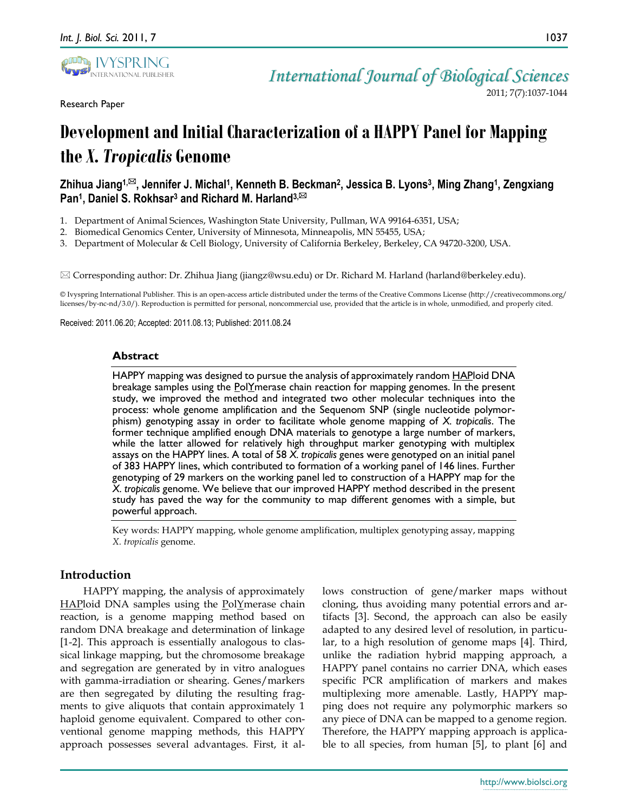

Research Paper

# **Development and Initial Characterization of a HAPPY Panel for Mapping the** *X. Tropicalis* **Genome**

# **Zhihua Jiang1,, Jennifer J. Michal<sup>1</sup> , Kenneth B. Beckman<sup>2</sup> , Jessica B. Lyons<sup>3</sup> , Ming Zhang<sup>1</sup> , Zengxiang Pan<sup>1</sup> , Daniel S. Rokhsar<sup>3</sup> and Richard M. Harland3,**

- 1. Department of Animal Sciences, Washington State University, Pullman, WA 99164-6351, USA;
- 2. Biomedical Genomics Center, University of Minnesota, Minneapolis, MN 55455, USA;
- 3. Department of Molecular & Cell Biology, University of California Berkeley, Berkeley, CA 94720-3200, USA.

 $\boxtimes$  Corresponding author: Dr. Zhihua Jiang (jiangz@wsu.edu) or Dr. Richard M. Harland (harland@berkeley.edu).

© Ivyspring International Publisher. This is an open-access article distributed under the terms of the Creative Commons License (http://creativecommons.org/ licenses/by-nc-nd/3.0/). Reproduction is permitted for personal, noncommercial use, provided that the article is in whole, unmodified, and properly cited.

Received: 2011.06.20; Accepted: 2011.08.13; Published: 2011.08.24

#### **Abstract**

HAPPY mapping was designed to pursue the analysis of approximately random HAPloid DNA breakage samples using the **PolYmerase chain reaction for mapping genomes**. In the present study, we improved the method and integrated two other molecular techniques into the process: whole genome amplification and the Sequenom SNP (single nucleotide polymorphism) genotyping assay in order to facilitate whole genome mapping of *X. tropicalis*. The former technique amplified enough DNA materials to genotype a large number of markers, while the latter allowed for relatively high throughput marker genotyping with multiplex assays on the HAPPY lines. A total of 58 *X. tropicalis* genes were genotyped on an initial panel of 383 HAPPY lines, which contributed to formation of a working panel of 146 lines. Further genotyping of 29 markers on the working panel led to construction of a HAPPY map for the *X. tropicalis* genome. We believe that our improved HAPPY method described in the present study has paved the way for the community to map different genomes with a simple, but powerful approach.

Key words: HAPPY mapping, whole genome amplification, multiplex genotyping assay, mapping *X. tropicalis* genome.

## **Introduction**

HAPPY mapping, the analysis of approximately HAPloid DNA samples using the PolYmerase chain reaction, is a genome mapping method based on random DNA breakage and determination of linkage [1-2]. This approach is essentially analogous to classical linkage mapping, but the chromosome breakage and segregation are generated by in vitro analogues with gamma-irradiation or shearing. Genes/markers are then segregated by diluting the resulting fragments to give aliquots that contain approximately 1 haploid genome equivalent. Compared to other conventional genome mapping methods, this HAPPY approach possesses several advantages. First, it allows construction of gene/marker maps without cloning, thus avoiding many potential errors and artifacts [3]. Second, the approach can also be easily adapted to any desired level of resolution, in particular, to a high resolution of genome maps [4]. Third, unlike the radiation hybrid mapping approach, a HAPPY panel contains no carrier DNA, which eases specific PCR amplification of markers and makes multiplexing more amenable. Lastly, HAPPY mapping does not require any polymorphic markers so any piece of DNA can be mapped to a genome region. Therefore, the HAPPY mapping approach is applicable to all species, from human [5], to plant [6] and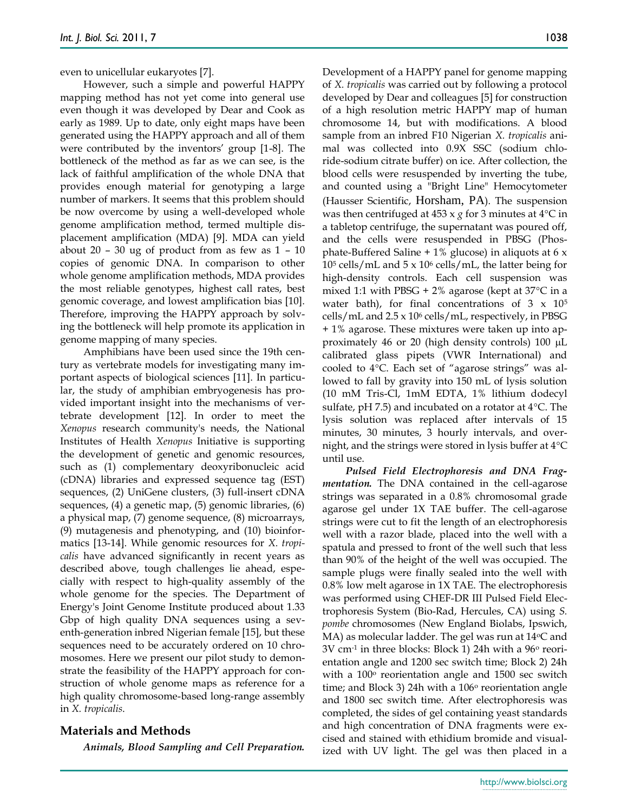even to unicellular eukaryotes [7].

However, such a simple and powerful HAPPY mapping method has not yet come into general use even though it was developed by Dear and Cook as early as 1989. Up to date, only eight maps have been generated using the HAPPY approach and all of them were contributed by the inventors' group [1-8]. The bottleneck of the method as far as we can see, is the lack of faithful amplification of the whole DNA that provides enough material for genotyping a large number of markers. It seems that this problem should be now overcome by using a well-developed whole genome amplification method, termed multiple displacement amplification (MDA) [9]. MDA can yield about 20 – 30 ug of product from as few as  $1 - 10$ copies of genomic DNA. In comparison to other whole genome amplification methods, MDA provides the most reliable genotypes, highest call rates, best genomic coverage, and lowest amplification bias [10]. Therefore, improving the HAPPY approach by solving the bottleneck will help promote its application in genome mapping of many species.

Amphibians have been used since the 19th century as vertebrate models for investigating many important aspects of biological sciences [11]. In particular, the study of amphibian embryogenesis has provided important insight into the mechanisms of vertebrate development [12]. In order to meet the *Xenopus* research community's needs, the National Institutes of Health *Xenopus* Initiative is supporting the development of genetic and genomic resources, such as (1) complementary deoxyribonucleic acid (cDNA) libraries and expressed sequence tag (EST) sequences, (2) UniGene clusters, (3) full-insert cDNA sequences, (4) a genetic map, (5) genomic libraries, (6) a physical map, (7) genome sequence, (8) microarrays, (9) mutagenesis and phenotyping, and (10) bioinformatics [13-14]. While genomic resources for *X. tropicalis* have advanced significantly in recent years as described above, tough challenges lie ahead, especially with respect to high-quality assembly of the whole genome for the species. The Department of Energy's Joint Genome Institute produced about 1.33 Gbp of high quality DNA sequences using a seventh-generation inbred Nigerian female [15], but these sequences need to be accurately ordered on 10 chromosomes. Here we present our pilot study to demonstrate the feasibility of the HAPPY approach for construction of whole genome maps as reference for a high quality chromosome-based long-range assembly in *X. tropicalis*.

## **Materials and Methods**

*Animals, Blood Sampling and Cell Preparation.*

Development of a HAPPY panel for genome mapping of *X. tropicalis* was carried out by following a protocol developed by Dear and colleagues [5] for construction of a high resolution metric HAPPY map of human chromosome 14, but with modifications. A blood sample from an inbred F10 Nigerian *X. tropicalis* animal was collected into 0.9X SSC (sodium chloride-sodium citrate buffer) on ice. After collection, the blood cells were resuspended by inverting the tube, and counted using a "Bright Line" Hemocytometer (Hausser Scientific, Horsham, PA). The suspension was then centrifuged at  $453 \times g$  for 3 minutes at  $4^{\circ}$ C in a tabletop centrifuge, the supernatant was poured off, and the cells were resuspended in PBSG (Phosphate-Buffered Saline  $+1\%$  glucose) in aliquots at 6 x  $10<sup>5</sup>$  cells/mL and  $5 \times 10<sup>6</sup>$  cells/mL, the latter being for high-density controls. Each cell suspension was mixed 1:1 with PBSG + 2% agarose (kept at  $37^{\circ}$ C in a water bath), for final concentrations of  $3 \times 10^5$ cells/mL and 2.5 x 10<sup>6</sup> cells/mL, respectively, in PBSG + 1% agarose. These mixtures were taken up into approximately 46 or 20 (high density controls)  $100 \mu L$ calibrated glass pipets (VWR International) and cooled to 4°C. Each set of "agarose strings" was allowed to fall by gravity into 150 mL of lysis solution (10 mM Tris-Cl, 1mM EDTA, 1% lithium dodecyl sulfate, pH 7.5) and incubated on a rotator at  $4^{\circ}$ C. The lysis solution was replaced after intervals of 15 minutes, 30 minutes, 3 hourly intervals, and overnight, and the strings were stored in lysis buffer at  $4^{\circ}C$ until use.

*Pulsed Field Electrophoresis and DNA Fragmentation.* The DNA contained in the cell-agarose strings was separated in a 0.8% chromosomal grade agarose gel under 1X TAE buffer. The cell-agarose strings were cut to fit the length of an electrophoresis well with a razor blade, placed into the well with a spatula and pressed to front of the well such that less than 90% of the height of the well was occupied. The sample plugs were finally sealed into the well with 0.8% low melt agarose in 1X TAE. The electrophoresis was performed using CHEF-DR III Pulsed Field Electrophoresis System (Bio-Rad, Hercules, CA) using *S. pombe* chromosomes (New England Biolabs, Ipswich, MA) as molecular ladder. The gel was run at  $14^{\circ}$ C and  $3V$  cm<sup>-1</sup> in three blocks: Block 1) 24h with a  $96^{\circ}$  reorientation angle and 1200 sec switch time; Block 2) 24h with a  $100^{\circ}$  reorientation angle and  $1500$  sec switch time; and Block 3) 24h with a  $106\degree$  reorientation angle and 1800 sec switch time. After electrophoresis was completed, the sides of gel containing yeast standards and high concentration of DNA fragments were excised and stained with ethidium bromide and visualized with UV light. The gel was then placed in a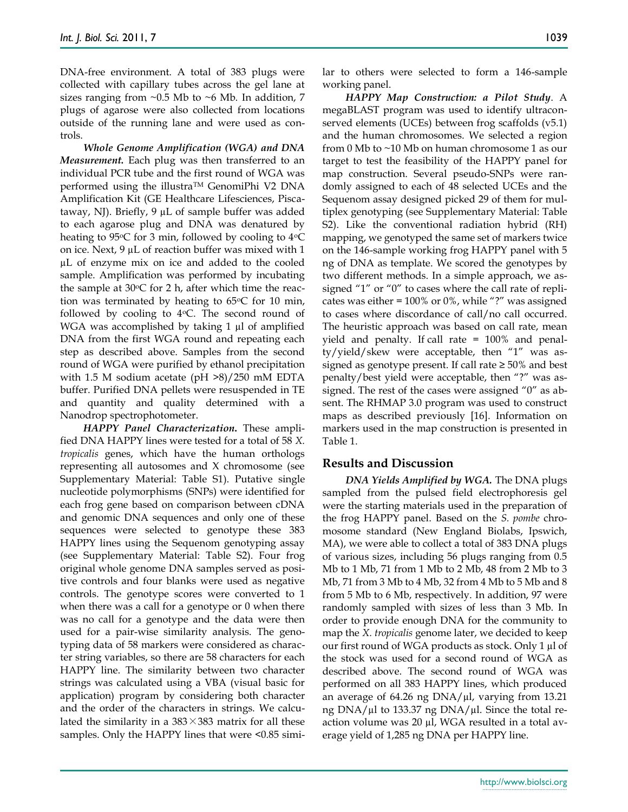DNA-free environment. A total of 383 plugs were collected with capillary tubes across the gel lane at sizes ranging from  $\sim 0.5$  Mb to  $\sim 6$  Mb. In addition, 7 plugs of agarose were also collected from locations outside of the running lane and were used as controls.

*Whole Genome Amplification (WGA) and DNA Measurement.* Each plug was then transferred to an individual PCR tube and the first round of WGA was performed using the illustra™ GenomiPhi V2 DNA Amplification Kit (GE Healthcare Lifesciences, Piscataway, NJ). Briefly, 9 µL of sample buffer was added to each agarose plug and DNA was denatured by heating to 95 $\degree$ C for 3 min, followed by cooling to 4 $\degree$ C on ice. Next, 9 µL of reaction buffer was mixed with 1 µL of enzyme mix on ice and added to the cooled sample. Amplification was performed by incubating the sample at  $30^{\circ}$ C for 2 h, after which time the reaction was terminated by heating to  $65^{\circ}$ C for 10 min, followed by cooling to  $4^{\circ}$ C. The second round of WGA was accomplished by taking 1 µl of amplified DNA from the first WGA round and repeating each step as described above. Samples from the second round of WGA were purified by ethanol precipitation with 1.5 M sodium acetate (pH >8)/250 mM EDTA buffer. Purified DNA pellets were resuspended in TE and quantity and quality determined with a Nanodrop spectrophotometer.

*HAPPY Panel Characterization***.** These amplified DNA HAPPY lines were tested for a total of 58 *X. tropicalis* genes, which have the human orthologs representing all autosomes and X chromosome (see Supplementary Material: Table S1). Putative single nucleotide polymorphisms (SNPs) were identified for each frog gene based on comparison between cDNA and genomic DNA sequences and only one of these sequences were selected to genotype these 383 HAPPY lines using the Sequenom genotyping assay (see Supplementary Material: Table S2). Four frog original whole genome DNA samples served as positive controls and four blanks were used as negative controls. The genotype scores were converted to 1 when there was a call for a genotype or 0 when there was no call for a genotype and the data were then used for a pair-wise similarity analysis. The genotyping data of 58 markers were considered as character string variables, so there are 58 characters for each HAPPY line. The similarity between two character strings was calculated using a VBA (visual basic for application) program by considering both character and the order of the characters in strings. We calculated the similarity in a  $383 \times 383$  matrix for all these samples. Only the HAPPY lines that were <0.85 similar to others were selected to form a 146-sample working panel.

*HAPPY Map Construction: a Pilot Study*. A megaBLAST program was used to identify ultraconserved elements (UCEs) between frog scaffolds (v5.1) and the human chromosomes. We selected a region from 0 Mb to ~10 Mb on human chromosome 1 as our target to test the feasibility of the HAPPY panel for map construction. Several pseudo-SNPs were randomly assigned to each of 48 selected UCEs and the Sequenom assay designed picked 29 of them for multiplex genotyping (see Supplementary Material: Table S2). Like the conventional radiation hybrid (RH) mapping, we genotyped the same set of markers twice on the 146-sample working frog HAPPY panel with 5 ng of DNA as template. We scored the genotypes by two different methods. In a simple approach, we assigned "1" or "0" to cases where the call rate of replicates was either = 100% or 0%, while "?" was assigned to cases where discordance of call/no call occurred. The heuristic approach was based on call rate, mean yield and penalty. If call rate = 100% and penalty/yield/skew were acceptable, then "1" was assigned as genotype present. If call rate ≥ 50% and best penalty/best yield were acceptable, then "?" was assigned. The rest of the cases were assigned "0" as absent. The RHMAP 3.0 program was used to construct maps as described previously [16]. Information on markers used in the map construction is presented in Table 1.

## **Results and Discussion**

*DNA Yields Amplified by WGA.* The DNA plugs sampled from the pulsed field electrophoresis gel were the starting materials used in the preparation of the frog HAPPY panel. Based on the *S. pombe* chromosome standard (New England Biolabs, Ipswich, MA), we were able to collect a total of 383 DNA plugs of various sizes, including 56 plugs ranging from 0.5 Mb to 1 Mb, 71 from 1 Mb to 2 Mb, 48 from 2 Mb to 3 Mb, 71 from 3 Mb to 4 Mb, 32 from 4 Mb to 5 Mb and 8 from 5 Mb to 6 Mb, respectively. In addition, 97 were randomly sampled with sizes of less than 3 Mb. In order to provide enough DNA for the community to map the *X. tropicalis* genome later, we decided to keep our first round of WGA products as stock. Only 1 µl of the stock was used for a second round of WGA as described above. The second round of WGA was performed on all 383 HAPPY lines, which produced an average of  $64.26$  ng DNA/ $\mu$ l, varying from 13.21 ng DNA/µl to 133.37 ng DNA/µl. Since the total reaction volume was 20 µl, WGA resulted in a total average yield of 1,285 ng DNA per HAPPY line.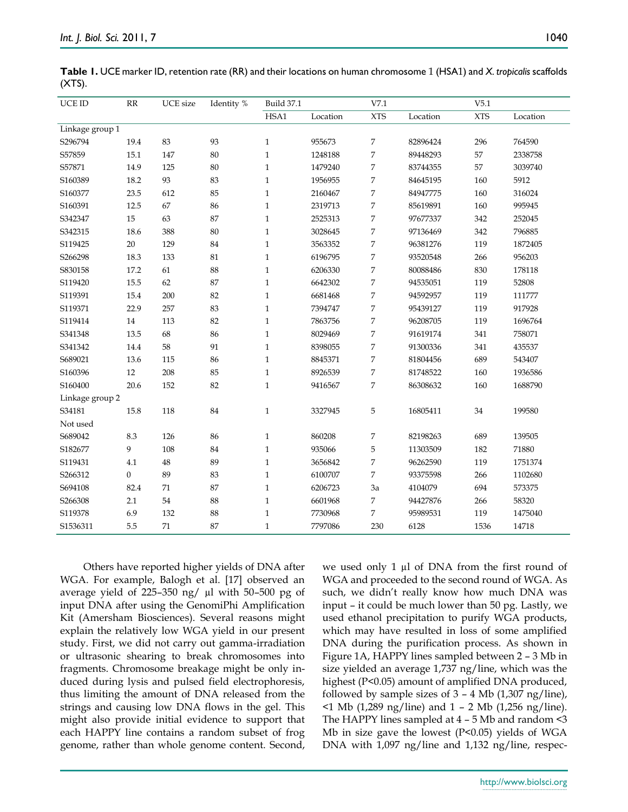| UCE ID          | RR       | UCE size | Identity % | <b>Build 37.1</b> |          | V7.1           |          | V5.1       |          |
|-----------------|----------|----------|------------|-------------------|----------|----------------|----------|------------|----------|
|                 |          |          |            | HSA1              | Location | <b>XTS</b>     | Location | <b>XTS</b> | Location |
| Linkage group 1 |          |          |            |                   |          |                |          |            |          |
| S296794         | 19.4     | 83       | 93         | $\mathbf{1}$      | 955673   | 7              | 82896424 | 296        | 764590   |
| S57859          | 15.1     | 147      | 80         | $\mathbf{1}$      | 1248188  | 7              | 89448293 | 57         | 2338758  |
| S57871          | 14.9     | 125      | 80         | $\mathbf{1}$      | 1479240  | 7              | 83744355 | 57         | 3039740  |
| S160389         | 18.2     | 93       | 83         | $\mathbf{1}$      | 1956955  | 7              | 84645195 | 160        | 5912     |
| S160377         | 23.5     | 612      | 85         | $\mathbf{1}$      | 2160467  | $\overline{7}$ | 84947775 | 160        | 316024   |
| S160391         | 12.5     | 67       | 86         | $\mathbf{1}$      | 2319713  | $\overline{7}$ | 85619891 | 160        | 995945   |
| S342347         | 15       | 63       | 87         | $\mathbf{1}$      | 2525313  | 7              | 97677337 | 342        | 252045   |
| S342315         | 18.6     | 388      | 80         | $\mathbf{1}$      | 3028645  | 7              | 97136469 | 342        | 796885   |
| S119425         | $20\,$   | 129      | $84\,$     | $\mathbf{1}$      | 3563352  | 7              | 96381276 | 119        | 1872405  |
| S266298         | 18.3     | 133      | 81         | $\mathbf{1}$      | 6196795  | $\overline{7}$ | 93520548 | 266        | 956203   |
| S830158         | 17.2     | 61       | 88         | $\mathbf{1}$      | 6206330  | 7              | 80088486 | 830        | 178118   |
| S119420         | 15.5     | 62       | 87         | $\mathbf{1}$      | 6642302  | $\overline{7}$ | 94535051 | 119        | 52808    |
| S119391         | 15.4     | 200      | 82         | $\mathbf{1}$      | 6681468  | $\overline{7}$ | 94592957 | 119        | 111777   |
| S119371         | 22.9     | 257      | 83         | $\mathbf{1}$      | 7394747  | 7              | 95439127 | 119        | 917928   |
| S119414         | 14       | 113      | 82         | $\mathbf 1$       | 7863756  | 7              | 96208705 | 119        | 1696764  |
| S341348         | 13.5     | 68       | 86         | $\mathbf{1}$      | 8029469  | $\overline{7}$ | 91619174 | 341        | 758071   |
| S341342         | 14.4     | 58       | 91         | $\mathbf{1}$      | 8398055  | 7              | 91300336 | 341        | 435537   |
| S689021         | 13.6     | 115      | 86         | $\mathbf{1}$      | 8845371  | 7              | 81804456 | 689        | 543407   |
| S160396         | 12       | 208      | 85         | $\mathbf{1}$      | 8926539  | 7              | 81748522 | 160        | 1936586  |
| S160400         | 20.6     | 152      | 82         | $\mathbf{1}$      | 9416567  | 7              | 86308632 | 160        | 1688790  |
| Linkage group 2 |          |          |            |                   |          |                |          |            |          |
| S34181          | 15.8     | 118      | 84         | $\mathbf{1}$      | 3327945  | 5              | 16805411 | $34\,$     | 199580   |
| Not used        |          |          |            |                   |          |                |          |            |          |
| S689042         | 8.3      | 126      | 86         | $\mathbf{1}$      | 860208   | 7              | 82198263 | 689        | 139505   |
| S182677         | 9        | 108      | 84         | $\mathbf{1}$      | 935066   | 5              | 11303509 | 182        | 71880    |
| S119431         | 4.1      | 48       | 89         | $\mathbf{1}$      | 3656842  | 7              | 96262590 | 119        | 1751374  |
| S266312         | $\theta$ | 89       | 83         | $\mathbf{1}$      | 6100707  | 7              | 93375598 | 266        | 1102680  |
| S694108         | 82.4     | 71       | 87         | $\mathbf{1}$      | 6206723  | 3a             | 4104079  | 694        | 573375   |
| S266308         | 2.1      | $54\,$   | 88         | $\mathbf{1}$      | 6601968  | 7              | 94427876 | 266        | 58320    |
| S119378         | 6.9      | 132      | 88         | $\mathbf{1}$      | 7730968  | 7              | 95989531 | 119        | 1475040  |
| S1536311        | 5.5      | 71       | 87         | $\mathbf{1}$      | 7797086  | 230            | 6128     | 1536       | 14718    |

**Table 1.** UCE marker ID, retention rate (RR) and their locations on human chromosome 1 (HSA1) and *X. tropicalis* scaffolds  $(XTS)$ .

Others have reported higher yields of DNA after WGA. For example, Balogh et al. [17] observed an average yield of 225–350 ng/ µl with 50–500 pg of input DNA after using the GenomiPhi Amplification Kit (Amersham Biosciences). Several reasons might explain the relatively low WGA yield in our present study. First, we did not carry out gamma-irradiation or ultrasonic shearing to break chromosomes into fragments. Chromosome breakage might be only induced during lysis and pulsed field electrophoresis, thus limiting the amount of DNA released from the strings and causing low DNA flows in the gel. This might also provide initial evidence to support that each HAPPY line contains a random subset of frog genome, rather than whole genome content. Second,

we used only 1  $\mu$ l of DNA from the first round of WGA and proceeded to the second round of WGA. As such, we didn't really know how much DNA was input – it could be much lower than 50 pg. Lastly, we used ethanol precipitation to purify WGA products, which may have resulted in loss of some amplified DNA during the purification process. As shown in Figure 1A, HAPPY lines sampled between 2 – 3 Mb in size yielded an average 1,737 ng/line, which was the highest (P<0.05) amount of amplified DNA produced, followed by sample sizes of  $3 - 4$  Mb  $(1,307 \text{ ng/line})$ , <1 Mb (1,289 ng/line) and 1 – 2 Mb (1,256 ng/line). The HAPPY lines sampled at 4 – 5 Mb and random <3 Mb in size gave the lowest  $(P<0.05)$  yields of WGA DNA with 1,097 ng/line and 1,132 ng/line, respec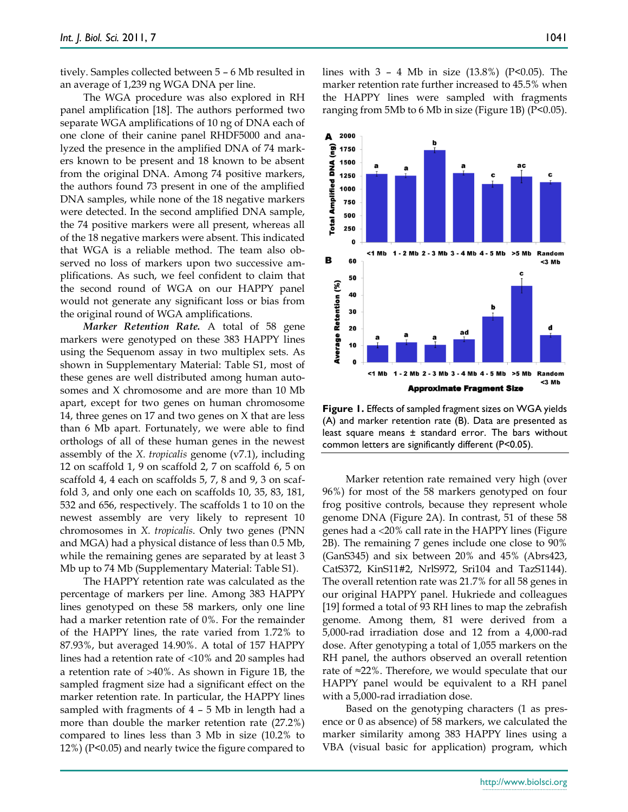tively. Samples collected between 5 – 6 Mb resulted in an average of 1,239 ng WGA DNA per line.

The WGA procedure was also explored in RH panel amplification [18]. The authors performed two separate WGA amplifications of 10 ng of DNA each of one clone of their canine panel RHDF5000 and analyzed the presence in the amplified DNA of 74 markers known to be present and 18 known to be absent from the original DNA. Among 74 positive markers, the authors found 73 present in one of the amplified DNA samples, while none of the 18 negative markers were detected. In the second amplified DNA sample, the 74 positive markers were all present, whereas all of the 18 negative markers were absent. This indicated that WGA is a reliable method. The team also observed no loss of markers upon two successive amplifications. As such, we feel confident to claim that the second round of WGA on our HAPPY panel would not generate any significant loss or bias from the original round of WGA amplifications.

*Marker Retention Rate.* A total of 58 gene markers were genotyped on these 383 HAPPY lines using the Sequenom assay in two multiplex sets. As shown in Supplementary Material: Table S1, most of these genes are well distributed among human autosomes and X chromosome and are more than 10 Mb apart, except for two genes on human chromosome 14, three genes on 17 and two genes on X that are less than 6 Mb apart. Fortunately, we were able to find orthologs of all of these human genes in the newest assembly of the *X. tropicalis* genome (v7.1), including 12 on scaffold 1, 9 on scaffold 2, 7 on scaffold 6, 5 on scaffold 4, 4 each on scaffolds 5, 7, 8 and 9, 3 on scaffold 3, and only one each on scaffolds 10, 35, 83, 181, 532 and 656, respectively. The scaffolds 1 to 10 on the newest assembly are very likely to represent 10 chromosomes in *X. tropicalis*. Only two genes (PNN and MGA) had a physical distance of less than 0.5 Mb, while the remaining genes are separated by at least 3 Mb up to 74 Mb (Supplementary Material: Table S1).

The HAPPY retention rate was calculated as the percentage of markers per line. Among 383 HAPPY lines genotyped on these 58 markers, only one line had a marker retention rate of 0%. For the remainder of the HAPPY lines, the rate varied from 1.72% to 87.93%, but averaged 14.90%. A total of 157 HAPPY lines had a retention rate of  $\langle 10\%$  and 20 samples had a retention rate of  $>40\%$ . As shown in Figure 1B, the sampled fragment size had a significant effect on the marker retention rate. In particular, the HAPPY lines sampled with fragments of 4 – 5 Mb in length had a more than double the marker retention rate (27.2%) compared to lines less than 3 Mb in size (10.2% to 12%) (P<0.05) and nearly twice the figure compared to lines with  $3 - 4$  Mb in size (13.8%) (P<0.05). The marker retention rate further increased to 45.5% when the HAPPY lines were sampled with fragments ranging from 5Mb to 6 Mb in size (Figure 1B) (P<0.05).

**Figure 1.** Effects of sampled fragment sizes on WGA yields (A) and marker retention rate (B). Data are presented as least square means ± standard error. The bars without common letters are significantly different (P<0.05).

Marker retention rate remained very high (over 96%) for most of the 58 markers genotyped on four frog positive controls, because they represent whole genome DNA (Figure 2A). In contrast, 51 of these 58 genes had a 20% call rate in the HAPPY lines (Figure 2B). The remaining 7 genes include one close to 90% (GanS345) and six between 20% and 45% (Abrs423, CatS372, KinS11#2, NrlS972, Sri104 and TazS1144). The overall retention rate was 21.7% for all 58 genes in our original HAPPY panel. Hukriede and colleagues [19] formed a total of 93 RH lines to map the zebrafish genome. Among them, 81 were derived from a 5,000-rad irradiation dose and 12 from a 4,000-rad dose. After genotyping a total of 1,055 markers on the RH panel, the authors observed an overall retention rate of ≈22%. Therefore, we would speculate that our HAPPY panel would be equivalent to a RH panel with a 5,000-rad irradiation dose.

Based on the genotyping characters (1 as presence or 0 as absence) of 58 markers, we calculated the marker similarity among 383 HAPPY lines using a VBA (visual basic for application) program, which

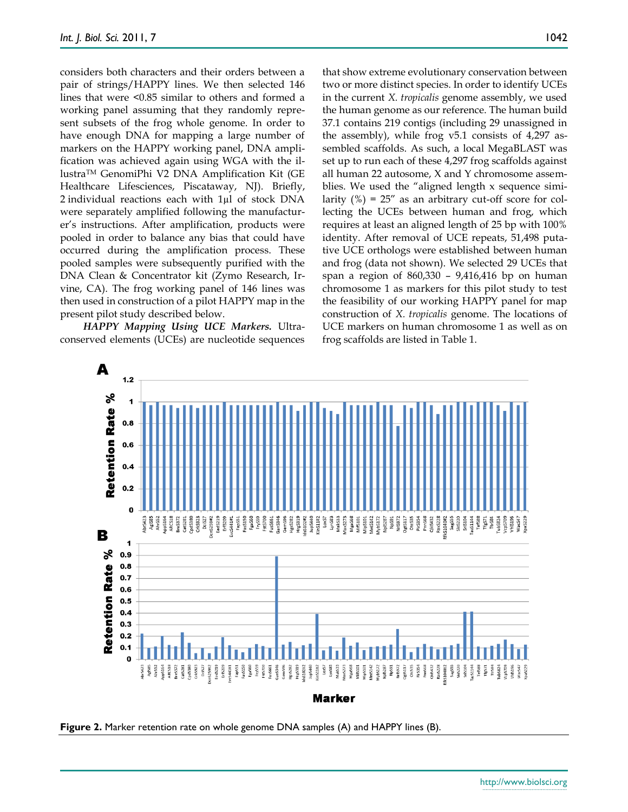considers both characters and their orders between a pair of strings/HAPPY lines. We then selected 146 lines that were <0.85 similar to others and formed a working panel assuming that they randomly represent subsets of the frog whole genome. In order to have enough DNA for mapping a large number of markers on the HAPPY working panel, DNA amplification was achieved again using WGA with the illustraTM GenomiPhi V2 DNA Amplification Kit (GE Healthcare Lifesciences, Piscataway, NJ). Briefly, 2 individual reactions each with 1µl of stock DNA were separately amplified following the manufacturer's instructions. After amplification, products were pooled in order to balance any bias that could have occurred during the amplification process. These pooled samples were subsequently purified with the DNA Clean & Concentrator kit (Zymo Research, Irvine, CA). The frog working panel of 146 lines was then used in construction of a pilot HAPPY map in the present pilot study described below.

*HAPPY Mapping Using UCE Markers.* Ultraconserved elements (UCEs) are nucleotide sequences that show extreme evolutionary conservation between two or more distinct species. In order to identify UCEs in the current *X. tropicalis* genome assembly, we used the human genome as our reference. The human build 37.1 contains 219 contigs (including 29 unassigned in the assembly), while frog v5.1 consists of 4,297 assembled scaffolds. As such, a local MegaBLAST was set up to run each of these 4,297 frog scaffolds against all human 22 autosome, X and Y chromosome assemblies. We used the "aligned length x sequence similarity  $(\%) = 25''$  as an arbitrary cut-off score for collecting the UCEs between human and frog, which requires at least an aligned length of 25 bp with 100% identity. After removal of UCE repeats, 51,498 putative UCE orthologs were established between human and frog (data not shown). We selected 29 UCEs that span a region of 860,330 – 9,416,416 bp on human chromosome 1 as markers for this pilot study to test the feasibility of our working HAPPY panel for map construction of *X. tropicalis* genome. The locations of UCE markers on human chromosome 1 as well as on frog scaffolds are listed in Table 1.



**Figure 2.** Marker retention rate on whole genome DNA samples (A) and HAPPY lines (B).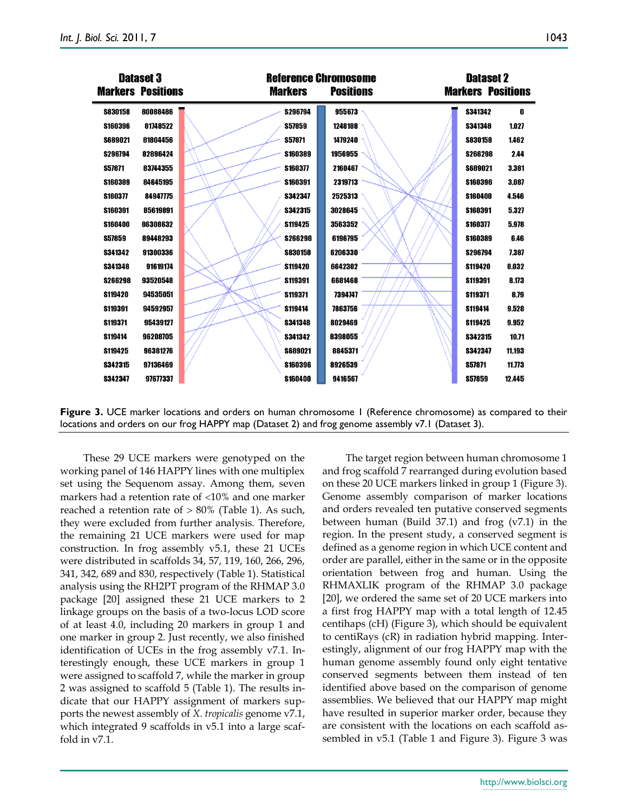|                | <b>Dataset 3</b>         | <b>Reference Chromosome</b> |                  | <b>Dataset 2</b><br><b>Markers Positions</b> |        |  |
|----------------|--------------------------|-----------------------------|------------------|----------------------------------------------|--------|--|
|                | <b>Markers Positions</b> | <b>Markers</b>              | <b>Positions</b> |                                              |        |  |
| \$830158       | 80088486                 | \$296794                    | 955673           | <b>S341342</b>                               | 0      |  |
| \$160396       | 81748522                 | \$57859                     | 1248188          | <b>S341348</b>                               | 1.027  |  |
| \$689021       | 81804456                 | <b>S57871</b>               | 1479240          | \$830158                                     | 1.462  |  |
| \$296794       | 82896424                 | \$160389                    | 1956955          | <b>S266298</b>                               | 2.44   |  |
| <b>S57871</b>  | 83744355                 | <b>S160377</b>              | 2160467          | \$689021                                     | 3.381  |  |
| \$160389       | 84645195                 | \$160391                    | 2319713          | \$160396                                     | 3.087  |  |
| \$160377       | 84947775                 | \$342347                    | 2525313          | \$160400                                     | 4.546  |  |
| \$160391       | 85619891                 | \$342315                    | 3028645          | \$160391                                     | 5.327  |  |
| \$160400       | 86308632                 | <b>S119425</b>              | 3563352          | \$160377                                     | 5.978  |  |
| \$57859        | 89448293                 | \$266298                    | 6196795          | \$160389                                     | 6.46   |  |
| S341342        | 91300336                 | \$830158                    | 6206330          | S296794                                      | 7.387  |  |
| \$341348       | 91619174                 | \$119420                    | 6642302          | \$119420                                     | 8.032  |  |
| \$266298       | 93520548                 | \$119391                    | 6681468          | \$119391                                     | 8.173  |  |
| \$119420       | 94535051                 | \$119371                    | 7394747          | \$119371                                     | 8.79   |  |
| \$119391       | 94592957                 | <b>S119414</b>              | 7863756          | <b>S119414</b>                               | 9.528  |  |
| \$119371       | 95439127                 | \$341348                    | 8029469          | <b>S119425</b>                               | 9.952  |  |
| <b>S119414</b> | 96208705                 | \$341342                    | 8398055          | \$342315                                     | 10.71  |  |
| \$119425       | 96381276                 | \$689021                    | 8845371          | \$342347                                     | 11.193 |  |
| \$342315       | 97136469                 | \$160396                    | 8926539          | <b>S57871</b>                                | 11.773 |  |
| <b>S342347</b> | 97677337                 | \$160400                    | 9416567          | <b>S57859</b>                                | 12.445 |  |

**Figure 3.** UCE marker locations and orders on human chromosome 1 (Reference chromosome) as compared to their locations and orders on our frog HAPPY map (Dataset 2) and frog genome assembly v7.1 (Dataset 3).

These 29 UCE markers were genotyped on the working panel of 146 HAPPY lines with one multiplex set using the Sequenom assay. Among them, seven markers had a retention rate of  $\langle 10\%$  and one marker reached a retention rate of  $> 80\%$  (Table 1). As such, they were excluded from further analysis. Therefore, the remaining 21 UCE markers were used for map construction. In frog assembly v5.1, these 21 UCEs were distributed in scaffolds 34, 57, 119, 160, 266, 296, 341, 342, 689 and 830, respectively (Table 1). Statistical analysis using the RH2PT program of the RHMAP 3.0 package [20] assigned these 21 UCE markers to 2 linkage groups on the basis of a two-locus LOD score of at least 4.0, including 20 markers in group 1 and one marker in group 2. Just recently, we also finished identification of UCEs in the frog assembly v7.1. Interestingly enough, these UCE markers in group 1 were assigned to scaffold 7, while the marker in group 2 was assigned to scaffold 5 (Table 1). The results indicate that our HAPPY assignment of markers supports the newest assembly of *X. tropicalis* genome v7.1, which integrated 9 scaffolds in v5.1 into a large scaffold in v7.1.

The target region between human chromosome 1 and frog scaffold 7 rearranged during evolution based on these 20 UCE markers linked in group 1 (Figure 3). Genome assembly comparison of marker locations and orders revealed ten putative conserved segments between human (Build 37.1) and frog  $(v7.1)$  in the region. In the present study, a conserved segment is defined as a genome region in which UCE content and order are parallel, either in the same or in the opposite orientation between frog and human. Using the RHMAXLIK program of the RHMAP 3.0 package [20], we ordered the same set of 20 UCE markers into a first frog HAPPY map with a total length of 12.45 centihaps (cH) (Figure 3), which should be equivalent to centiRays (cR) in radiation hybrid mapping. Interestingly, alignment of our frog HAPPY map with the human genome assembly found only eight tentative conserved segments between them instead of ten identified above based on the comparison of genome assemblies. We believed that our HAPPY map might have resulted in superior marker order, because they are consistent with the locations on each scaffold assembled in v5.1 (Table 1 and Figure 3). Figure 3 was